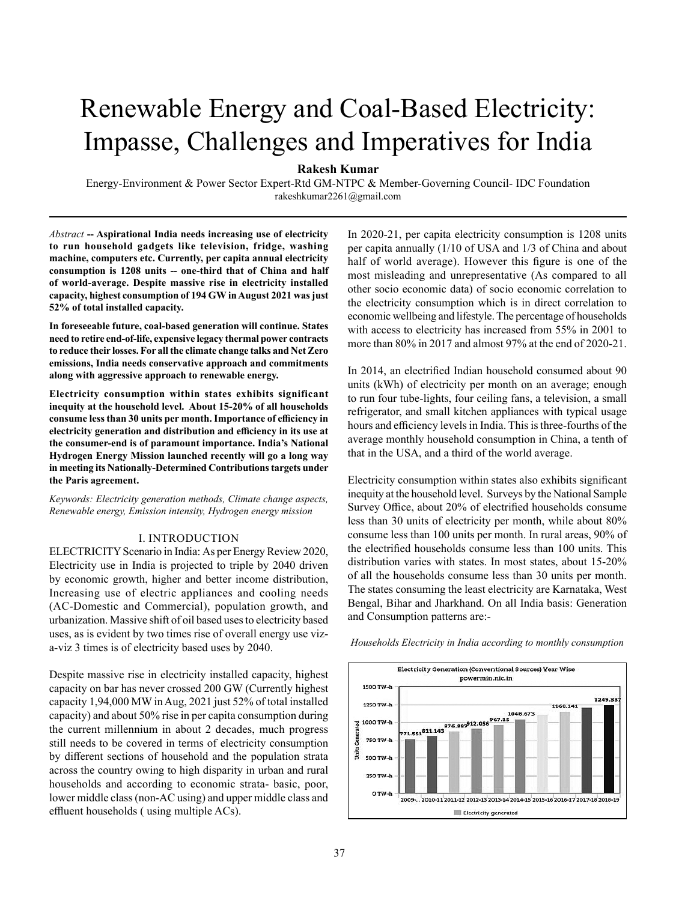# Renewable Energy and Coal-Based Electricity: Impasse, Challenges and Imperatives for India

**Rakesh Kumar**

Energy-Environment & Power Sector Expert-Rtd GM-NTPC & Member-Governing Council- IDC Foundation rakeshkumar2261@gmail.com

*Abstract* **-- Aspirational India needs increasing use of electricity to run household gadgets like television, fridge, washing machine, computers etc. Currently, per capita annual electricity consumption is 1208 units -- one-third that of China and half of world-average. Despite massive rise in electricity installed capacity, highest consumption of 194 GW in August 2021 was just 52% of total installed capacity.**

**In foreseeable future, coal-based generation will continue. States need to retire end-of-life, expensive legacy thermal power contracts to reduce their losses. For all the climate change talks and Net Zero emissions, India needs conservative approach and commitments along with aggressive approach to renewable energy.** 

**Electricity consumption within states exhibits significant inequity at the household level. About 15-20% of all households consume less than 30 units per month. Importance of efficiency in electricity generation and distribution and efficiency in its use at the consumer-end is of paramount importance. India's National Hydrogen Energy Mission launched recently will go a long way in meeting its Nationally-Determined Contributions targets under the Paris agreement.** 

*Keywords: Electricity generation methods, Climate change aspects, Renewable energy, Emission intensity, Hydrogen energy mission*

### I. INTRODUCTION

ELECTRICITY Scenario in India: As per Energy Review 2020, Electricity use in India is projected to triple by 2040 driven by economic growth, higher and better income distribution, Increasing use of electric appliances and cooling needs (AC-Domestic and Commercial), population growth, and urbanization. Massive shift of oil based uses to electricity based uses, as is evident by two times rise of overall energy use viza-viz 3 times is of electricity based uses by 2040.

Despite massive rise in electricity installed capacity, highest capacity on bar has never crossed 200 GW (Currently highest capacity 1,94,000 MW in Aug, 2021 just 52% of total installed capacity) and about 50% rise in per capita consumption during the current millennium in about 2 decades, much progress still needs to be covered in terms of electricity consumption by different sections of household and the population strata across the country owing to high disparity in urban and rural households and according to economic strata- basic, poor, lower middle class (non-AC using) and upper middle class and effluent households ( using multiple ACs).

In 2020-21, per capita electricity consumption is 1208 units per capita annually (1/10 of USA and 1/3 of China and about half of world average). However this figure is one of the most misleading and unrepresentative (As compared to all other socio economic data) of socio economic correlation to the electricity consumption which is in direct correlation to economic wellbeing and lifestyle. The percentage of households with access to electricity has increased from 55% in 2001 to more than 80% in 2017 and almost 97% at the end of 2020-21.

In 2014, an electrified Indian household consumed about 90 units (kWh) of electricity per month on an average; enough to run four tube-lights, four ceiling fans, a television, a small refrigerator, and small kitchen appliances with typical usage hours and efficiency levels in India. This is three-fourths of the average monthly household consumption in China, a tenth of that in the USA, and a third of the world average.

Electricity consumption within states also exhibits significant inequity at the household level. Surveys by the National Sample Survey Office, about 20% of electrified households consume less than 30 units of electricity per month, while about 80% consume less than 100 units per month. In rural areas, 90% of the electrified households consume less than 100 units. This distribution varies with states. In most states, about 15-20% of all the households consume less than 30 units per month. The states consuming the least electricity are Karnataka, West Bengal, Bihar and Jharkhand. On all India basis: Generation and Consumption patterns are:-



*Households Electricity in India according to monthly consumption*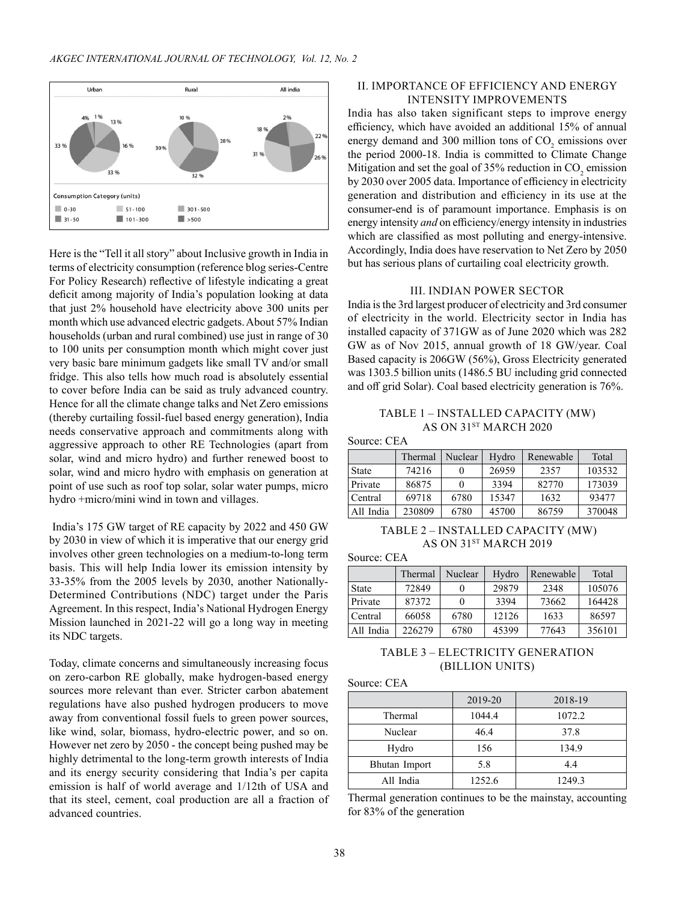

Here is the "Tell it all story" about Inclusive growth in India in terms of electricity consumption (reference blog series-Centre For Policy Research) reflective of lifestyle indicating a great deficit among majority of India's population looking at data that just 2% household have electricity above 300 units per month which use advanced electric gadgets. About 57% Indian households (urban and rural combined) use just in range of 30 to 100 units per consumption month which might cover just very basic bare minimum gadgets like small TV and/or small fridge. This also tells how much road is absolutely essential to cover before India can be said as truly advanced country. Hence for all the climate change talks and Net Zero emissions (thereby curtailing fossil-fuel based energy generation), India needs conservative approach and commitments along with aggressive approach to other RE Technologies (apart from solar, wind and micro hydro) and further renewed boost to solar, wind and micro hydro with emphasis on generation at point of use such as roof top solar, solar water pumps, micro hydro +micro/mini wind in town and villages.

 India's 175 GW target of RE capacity by 2022 and 450 GW by 2030 in view of which it is imperative that our energy grid involves other green technologies on a medium-to-long term basis. This will help India lower its emission intensity by 33-35% from the 2005 levels by 2030, another Nationally-Determined Contributions (NDC) target under the Paris Agreement. In this respect, India's National Hydrogen Energy Mission launched in 2021-22 will go a long way in meeting its NDC targets.

Today, climate concerns and simultaneously increasing focus on zero-carbon RE globally, make hydrogen-based energy sources more relevant than ever. Stricter carbon abatement regulations have also pushed hydrogen producers to move away from conventional fossil fuels to green power sources, like wind, solar, biomass, hydro-electric power, and so on. However net zero by 2050 - the concept being pushed may be highly detrimental to the long-term growth interests of India and its energy security considering that India's per capita emission is half of world average and 1/12th of USA and that its steel, cement, coal production are all a fraction of advanced countries.

# II. IMPORTANCE OF EFFICIENCY AND ENERGY INTENSITY IMPROVEMENTS

India has also taken significant steps to improve energy efficiency, which have avoided an additional 15% of annual energy demand and 300 million tons of  $CO<sub>2</sub>$  emissions over the period 2000-18. India is committed to Climate Change Mitigation and set the goal of 35% reduction in  $\mathrm{CO}_2$  emission by 2030 over 2005 data. Importance of efficiency in electricity generation and distribution and efficiency in its use at the consumer-end is of paramount importance. Emphasis is on energy intensity *and* on efficiency/energy intensity in industries which are classified as most polluting and energy-intensive. Accordingly, India does have reservation to Net Zero by 2050 but has serious plans of curtailing coal electricity growth.

#### III. INDIAN POWER SECTOR

India is the 3rd largest producer of electricity and 3rd consumer of electricity in the world. Electricity sector in India has installed capacity of 371GW as of June 2020 which was 282 GW as of Nov 2015, annual growth of 18 GW/year. Coal Based capacity is 206GW (56%), Gross Electricity generated was 1303.5 billion units (1486.5 BU including grid connected and off grid Solar). Coal based electricity generation is 76%.

# TABLE 1 – INSTALLED CAPACITY (MW) AS ON 31<sup>st</sup> MARCH 2020

Source: CEA

|              | Thermal | Nuclear | Hydro | Renewable | Total  |
|--------------|---------|---------|-------|-----------|--------|
| <b>State</b> | 74216   |         | 26959 | 2357      | 103532 |
| Private      | 86875   |         | 3394  | 82770     | 173039 |
| Central      | 69718   | 6780    | 15347 | 1632      | 93477  |
| All India    | 230809  | 6780    | 45700 | 86759     | 370048 |

# TABLE 2 – INSTALLED CAPACITY (MW) AS ON 31ST MARCH 2019

Source: CEA

|              | Thermal | Nuclear | Hydro | Renewable | Total  |
|--------------|---------|---------|-------|-----------|--------|
| <b>State</b> | 72849   |         | 29879 | 2348      | 105076 |
| Private      | 87372   |         | 3394  | 73662     | 164428 |
| Central      | 66058   | 6780    | 12126 | 1633      | 86597  |
| All India    | 226279  | 6780    | 45399 | 77643     | 356101 |

# TABLE 3 – ELECTRICITY GENERATION (billion units)

Source: CEA

|               | 2019-20 | 2018-19 |
|---------------|---------|---------|
| Thermal       | 1044.4  | 1072.2  |
| Nuclear       | 46.4    | 37.8    |
| Hydro         | 156     | 134.9   |
| Bhutan Import | 5.8     | 4.4     |
| All India     | 1252.6  | 1249.3  |

Thermal generation continues to be the mainstay, accounting for 83% of the generation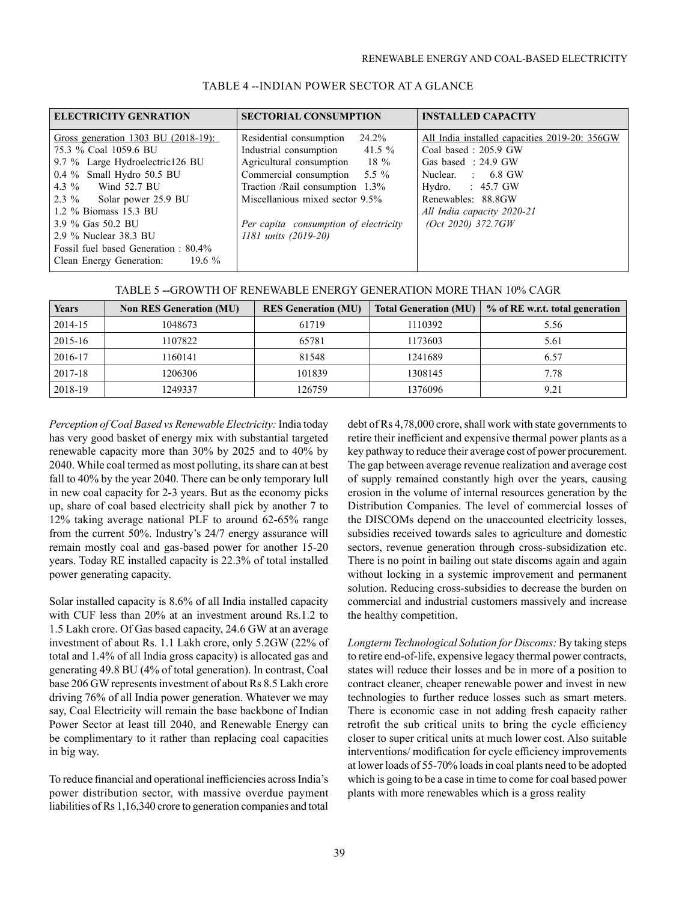| <b>ELECTRICITY GENRATION</b>                                                                                                 | <b>SECTORIAL CONSUMPTION</b>                                                                                                       | <b>INSTALLED CAPACITY</b>                                                                                        |
|------------------------------------------------------------------------------------------------------------------------------|------------------------------------------------------------------------------------------------------------------------------------|------------------------------------------------------------------------------------------------------------------|
| Gross generation 1303 BU (2018-19):<br>75.3 % Coal 1059.6 BU<br>9.7 % Large Hydroelectric126 BU<br>0.4 % Small Hydro 50.5 BU | 24.2%<br>Residential consumption<br>Industrial consumption 41.5 %<br>Agricultural consumption 18 %<br>Commercial consumption 5.5 % | All India installed capacities 2019-20: 356GW<br>Coal based: 205.9 GW<br>Gas based: 24.9 GW<br>Nuclear. : 6.8 GW |
| 4.3 % Wind 52.7 BU<br>2.3 % Solar power 25.9 BU<br>1.2 % Biomass 15.3 BU                                                     | Traction /Rail consumption 1.3%<br>Miscellanious mixed sector 9.5%                                                                 | Hydro. $: 45.7$ GW<br>Renewables: 88.8GW<br>All India capacity 2020-21                                           |
| 3.9 % Gas 50.2 BU<br>2.9 % Nuclear 38.3 BU<br>Fossil fuel based Generation: 80.4%<br>Clean Energy Generation: 19.6 %         | Per capita consumption of electricity<br>1181 units (2019-20)                                                                      | (Oct 2020) 372.7GW                                                                                               |

# TABLE 4 --INDIAN POWER SECTOR AT A GLANCE

| TABLE 5 --GROWTH OF RENEWABLE ENERGY GENERATION MORE THAN 10% CAGR |  |
|--------------------------------------------------------------------|--|
|--------------------------------------------------------------------|--|

| <b>Years</b> | <b>Non RES Generation (MU)</b> | <b>RES Generation (MU)</b> | <b>Total Generation (MU)</b> | % of RE w.r.t. total generation |
|--------------|--------------------------------|----------------------------|------------------------------|---------------------------------|
| 2014-15      | 1048673                        | 61719                      | 1110392                      | 5.56                            |
| 2015-16      | 1107822                        | 65781                      | 1173603                      | 5.61                            |
| 2016-17      | 1160141                        | 81548                      | 1241689                      | 6.57                            |
| 2017-18      | 1206306                        | 101839                     | 1308145                      | 7.78                            |
| 2018-19      | 1249337                        | 126759                     | 1376096                      | 9.21                            |

*Perception of Coal Based vs Renewable Electricity:* India today has very good basket of energy mix with substantial targeted renewable capacity more than 30% by 2025 and to 40% by 2040. While coal termed as most polluting, its share can at best fall to 40% by the year 2040. There can be only temporary lull in new coal capacity for 2-3 years. But as the economy picks up, share of coal based electricity shall pick by another 7 to 12% taking average national PLF to around 62-65% range from the current 50%. Industry's 24/7 energy assurance will remain mostly coal and gas-based power for another 15-20 years. Today RE installed capacity is 22.3% of total installed power generating capacity.

Solar installed capacity is 8.6% of all India installed capacity with CUF less than 20% at an investment around Rs.1.2 to 1.5 Lakh crore. Of Gas based capacity, 24.6 GW at an average investment of about Rs. 1.1 Lakh crore, only 5.2GW (22% of total and 1.4% of all India gross capacity) is allocated gas and generating 49.8 BU (4% of total generation). In contrast, Coal base 206 GW represents investment of about Rs 8.5 Lakh crore driving 76% of all India power generation. Whatever we may say, Coal Electricity will remain the base backbone of Indian Power Sector at least till 2040, and Renewable Energy can be complimentary to it rather than replacing coal capacities in big way.

To reduce financial and operational inefficiencies across India's power distribution sector, with massive overdue payment liabilities of Rs 1,16,340 crore to generation companies and total

debt of Rs 4,78,000 crore, shall work with state governments to retire their inefficient and expensive thermal power plants as a key pathway to reduce their average cost of power procurement. The gap between average revenue realization and average cost of supply remained constantly high over the years, causing erosion in the volume of internal resources generation by the Distribution Companies. The level of commercial losses of the DISCOMs depend on the unaccounted electricity losses, subsidies received towards sales to agriculture and domestic sectors, revenue generation through cross-subsidization etc. There is no point in bailing out state discoms again and again without locking in a systemic improvement and permanent solution. Reducing cross-subsidies to decrease the burden on commercial and industrial customers massively and increase the healthy competition.

*Longterm Technological Solution for Discoms:* By taking steps to retire end-of-life, expensive legacy thermal power contracts, states will reduce their losses and be in more of a position to contract cleaner, cheaper renewable power and invest in new technologies to further reduce losses such as smart meters. There is economic case in not adding fresh capacity rather retrofit the sub critical units to bring the cycle efficiency closer to super critical units at much lower cost. Also suitable interventions/ modification for cycle efficiency improvements at lower loads of 55-70% loads in coal plants need to be adopted which is going to be a case in time to come for coal based power plants with more renewables which is a gross reality